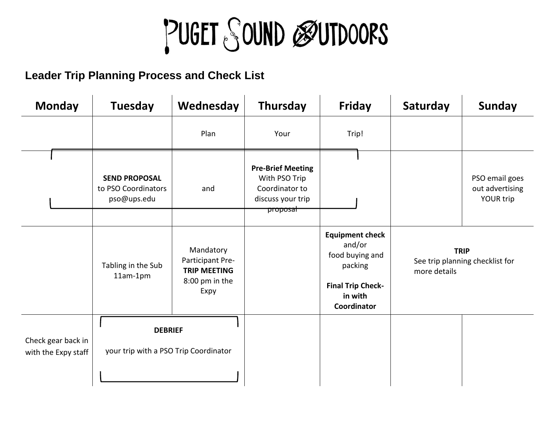## PUGET SOUND ØUTDOORS

**Leader Trip Planning Process and Check List**

| <b>Monday</b> |                                           | <b>Tuesday</b>                                             | Wednesday                                                                      | Thursday                                                                                                  | <b>Friday</b>                                                                                                        | Saturday                                                       | <b>Sunday</b>                                  |
|---------------|-------------------------------------------|------------------------------------------------------------|--------------------------------------------------------------------------------|-----------------------------------------------------------------------------------------------------------|----------------------------------------------------------------------------------------------------------------------|----------------------------------------------------------------|------------------------------------------------|
|               |                                           |                                                            | Plan                                                                           | Your                                                                                                      | Trip!                                                                                                                |                                                                |                                                |
|               |                                           | <b>SEND PROPOSAL</b><br>to PSO Coordinators<br>pso@ups.edu | and                                                                            | <b>Pre-Brief Meeting</b><br>With PSO Trip<br>Coordinator to<br>discuss your trip<br><del>hroposal -</del> |                                                                                                                      |                                                                | PSO email goes<br>out advertising<br>YOUR trip |
|               |                                           | Tabling in the Sub<br>11am-1pm                             | Mandatory<br>Participant Pre-<br><b>TRIP MEETING</b><br>8:00 pm in the<br>Expy |                                                                                                           | <b>Equipment check</b><br>and/or<br>food buying and<br>packing<br><b>Final Trip Check-</b><br>in with<br>Coordinator | <b>TRIP</b><br>See trip planning checklist for<br>more details |                                                |
|               | Check gear back in<br>with the Expy staff | <b>DEBRIEF</b><br>your trip with a PSO Trip Coordinator    |                                                                                |                                                                                                           |                                                                                                                      |                                                                |                                                |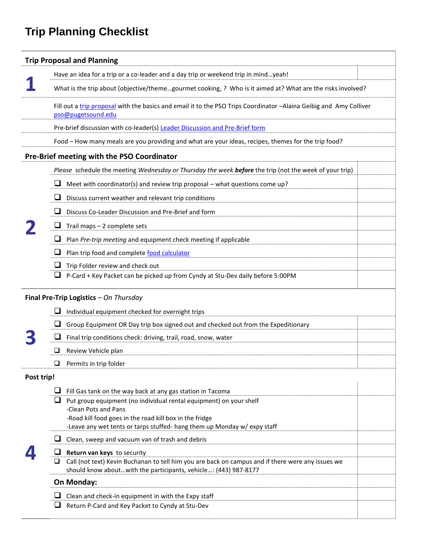## **Trip Planning Checklist**

| <b>Trip Proposal and Planning</b>          |                                                                                                                                              |  |  |  |  |  |  |  |
|--------------------------------------------|----------------------------------------------------------------------------------------------------------------------------------------------|--|--|--|--|--|--|--|
|                                            | Have an idea for a trip or a co-leader and a day trip or weekend trip in mindyeah!                                                           |  |  |  |  |  |  |  |
|                                            | What is the trip about (objective/themegourmet cooking, ? Who is it aimed at? What are the risks involved?                                   |  |  |  |  |  |  |  |
|                                            | Fill out a trip proposal with the basics and email it to the PSO Trips Coordinator -Alaina Geibig and Amy Colliver<br>pso@pugetsound.edu     |  |  |  |  |  |  |  |
|                                            | Pre-brief discussion with co-leader(s) Leader Discussion and Pre-Brief form                                                                  |  |  |  |  |  |  |  |
|                                            | Food - How many meals are you providing and what are your ideas, recipes, themes for the trip food?                                          |  |  |  |  |  |  |  |
| Pre-Brief meeting with the PSO Coordinator |                                                                                                                                              |  |  |  |  |  |  |  |
|                                            | Please schedule the meeting Wednesday or Thursday the week before the trip (not the week of your trip)                                       |  |  |  |  |  |  |  |
|                                            | Meet with coordinator(s) and review trip proposal - what questions come up?                                                                  |  |  |  |  |  |  |  |
|                                            | Discuss current weather and relevant trip conditions                                                                                         |  |  |  |  |  |  |  |
|                                            | Discuss Co-Leader Discussion and Pre-Brief and form                                                                                          |  |  |  |  |  |  |  |
|                                            | Trail maps - 2 complete sets                                                                                                                 |  |  |  |  |  |  |  |
|                                            | Plan Pre-trip meeting and equipment check meeting if applicable                                                                              |  |  |  |  |  |  |  |
|                                            | Plan trip food and complete food calculator                                                                                                  |  |  |  |  |  |  |  |
|                                            | Trip Folder review and check out                                                                                                             |  |  |  |  |  |  |  |
|                                            | P-Card + Key Packet can be picked up from Cyndy at Stu-Dev daily before 5:00PM                                                               |  |  |  |  |  |  |  |
|                                            | Final Pre-Trip Logistics - On Thursday                                                                                                       |  |  |  |  |  |  |  |
|                                            | Individual equipment checked for overnight trips                                                                                             |  |  |  |  |  |  |  |
|                                            | Group Equipment OR Day trip box signed out and checked out from the Expeditionary                                                            |  |  |  |  |  |  |  |
|                                            | Final trip conditions check: driving, trail, road, snow, water                                                                               |  |  |  |  |  |  |  |
|                                            | Review Vehicle plan                                                                                                                          |  |  |  |  |  |  |  |
|                                            | $\Box$ Permits in trip folder                                                                                                                |  |  |  |  |  |  |  |
| Post trip!                                 |                                                                                                                                              |  |  |  |  |  |  |  |
|                                            | Fill Gas tank on the way back at any gas station in Tacoma                                                                                   |  |  |  |  |  |  |  |
|                                            | Put group equipment (no individual rental equipment) on your shelf<br>-Clean Pots and Pans                                                   |  |  |  |  |  |  |  |
|                                            | -Road kill food goes in the road kill box in the fridge                                                                                      |  |  |  |  |  |  |  |
|                                            | -Leave any wet tents or tarps stuffed- hang them up Monday w/ expy staff                                                                     |  |  |  |  |  |  |  |
|                                            | Clean, sweep and vacuum van of trash and debris                                                                                              |  |  |  |  |  |  |  |
|                                            | $\Box$ Return van keys to security<br>Call (not text) Kevin Buchanan to tell him you are back on campus and if there were any issues we<br>⊔ |  |  |  |  |  |  |  |
|                                            | should know aboutwith the participants, vehicle: (443) 987-8177                                                                              |  |  |  |  |  |  |  |
|                                            | On Monday:                                                                                                                                   |  |  |  |  |  |  |  |
|                                            | Clean and check-in equipment in with the Expy staff                                                                                          |  |  |  |  |  |  |  |
|                                            | Return P-Card and Key Packet to Cyndy at Stu-Dev<br>⊔                                                                                        |  |  |  |  |  |  |  |